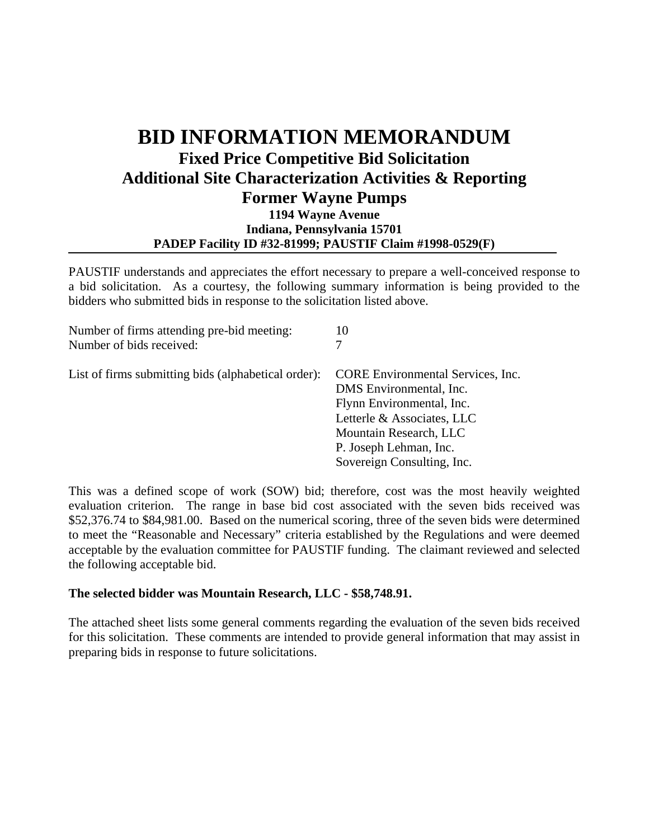## **BID INFORMATION MEMORANDUM Fixed Price Competitive Bid Solicitation Additional Site Characterization Activities & Reporting Former Wayne Pumps 1194 Wayne Avenue Indiana, Pennsylvania 15701 PADEP Facility ID #32-81999; PAUSTIF Claim #1998-0529(F)**

PAUSTIF understands and appreciates the effort necessary to prepare a well-conceived response to a bid solicitation. As a courtesy, the following summary information is being provided to the bidders who submitted bids in response to the solicitation listed above.

| Number of firms attending pre-bid meeting:          | 10                                                                                                                                                       |
|-----------------------------------------------------|----------------------------------------------------------------------------------------------------------------------------------------------------------|
| Number of bids received:                            | 7                                                                                                                                                        |
| List of firms submitting bids (alphabetical order): | <b>CORE</b> Environmental Services, Inc.<br>DMS Environmental, Inc.<br>Flynn Environmental, Inc.<br>Letterle & Associates, LLC<br>Mountain Research, LLC |
|                                                     | P. Joseph Lehman, Inc.<br>Sovereign Consulting, Inc.                                                                                                     |

This was a defined scope of work (SOW) bid; therefore, cost was the most heavily weighted evaluation criterion. The range in base bid cost associated with the seven bids received was \$52,376.74 to \$84,981.00. Based on the numerical scoring, three of the seven bids were determined to meet the "Reasonable and Necessary" criteria established by the Regulations and were deemed acceptable by the evaluation committee for PAUSTIF funding. The claimant reviewed and selected the following acceptable bid.

## **The selected bidder was Mountain Research, LLC - \$58,748.91.**

The attached sheet lists some general comments regarding the evaluation of the seven bids received for this solicitation. These comments are intended to provide general information that may assist in preparing bids in response to future solicitations.